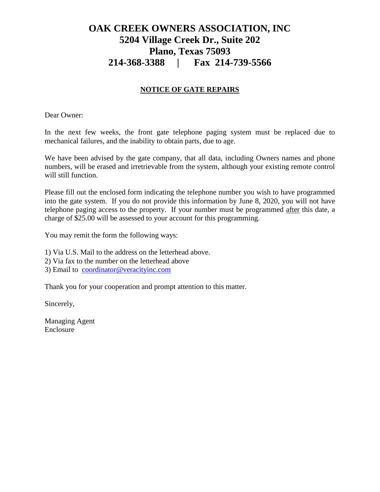## **OAK CREEK OWNERS ASSOCIATION, INC 5204 Village Creek Dr., Suite 202 Plano, Texas 75093 214-368-3388 | Fax 214-739-5566**

## **NOTICE OF GATE REPAIRS**

Dear Owner:

In the next few weeks, the front gate telephone paging system must be replaced due to mechanical failures, and the inability to obtain parts, due to age.

We have been advised by the gate company, that all data, including Owners names and phone numbers, will be erased and irretrievable from the system, although your existing remote control will still function.

Please fill out the enclosed form indicating the telephone number you wish to have programmed into the gate system. If you do not provide this information by June 8, 2020, you will not have telephone paging access to the property. If your number must be programmed after this date, a charge of \$25.00 will be assessed to your account for this programming.

You may remit the form the following ways:

1) Via U.S. Mail to the address on the letterhead above.

- 2) Via fax to the number on the letterhead above
- 3) Email to [coordinator@veracityinc.com](mailto:coordinator@veracityinc.com)

Thank you for your cooperation and prompt attention to this matter.

Sincerely,

Managing Agent Enclosure